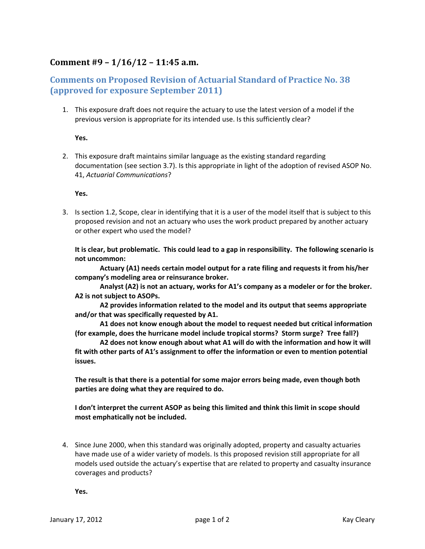## **Comment #9 – 1/16/12 – 11:45 a.m.**

## **Comments on Proposed Revision of Actuarial Standard of Practice No. 38 (approved for exposure September 2011)**

1. This exposure draft does not require the actuary to use the latest version of a model if the previous version is appropriate for its intended use. Is this sufficiently clear?

**Yes.**

2. This exposure draft maintains similar language as the existing standard regarding documentation (see section 3.7). Is this appropriate in light of the adoption of revised ASOP No. 41, *Actuarial Communications*?

**Yes.**

3. Is section 1.2, Scope, clear in identifying that it is a user of the model itself that is subject to this proposed revision and not an actuary who uses the work product prepared by another actuary or other expert who used the model?

It is clear, but problematic. This could lead to a gap in responsibility. The following scenario is **not uncommon:**

**Actuary (A1) needs certain model output for a rate filing and requests it from his/her company's modeling area or reinsurance broker.**

**Analyst (A2) is not an actuary, works for A1's company as a modeler or for the broker. A2 is not subject to ASOPs.** 

**A2 provides information related to the model and its output that seems appropriate and/or that was specifically requested by A1.**

**A1 does not know enough about the model to request needed but critical information (for example, does the hurricane model include tropical storms? Storm surge? Tree fall?)**

**A2 does not know enough about what A1 will do with the information and how it will fit with other parts of A1's assignment to offer the information or even to mention potential issues.**

**The result is that there is a potential for some major errors being made, even though both parties are doing what they are required to do.**

**I don't interpret the current ASOP as being this limited and think this limit in scope should most emphatically not be included.**

4. Since June 2000, when this standard was originally adopted, property and casualty actuaries have made use of a wider variety of models. Is this proposed revision still appropriate for all models used outside the actuary's expertise that are related to property and casualty insurance coverages and products?

**Yes.**